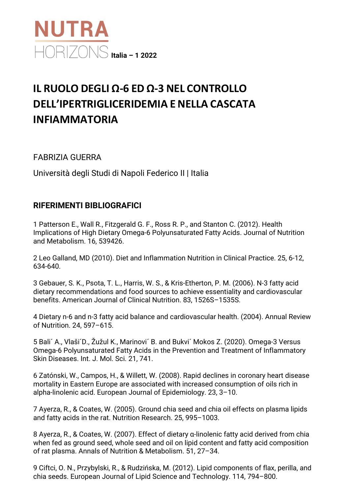

## **IL RUOLO DEGLI Ω-6 ED Ω-3 NEL CONTROLLO DELL'IPERTRIGLICERIDEMIA E NELLA CASCATA INFIAMMATORIA**

FABRIZIA GUERRA

Università degli Studi di Napoli Federico II | Italia

## **RIFERIMENTI BIBLIOGRAFICI**

1 Patterson E., Wall R., Fitzgerald G. F., Ross R. P., and Stanton C. (2012). Health Implications of High Dietary Omega-6 Polyunsaturated Fatty Acids. Journal of Nutrition and Metabolism. 16, 539426.

2 Leo Galland, MD (2010). Diet and Inflammation Nutrition in Clinical Practice. 25, 6-12, 634-640.

3 Gebauer, S. K., Psota, T. L., Harris, W. S., & Kris-Etherton, P. M. (2006). N-3 fatty acid dietary recommendations and food sources to achieve essentiality and cardiovascular benefits. American Journal of Clinical Nutrition. 83, 1526S–1535S.

4 Dietary n-6 and n-3 fatty acid balance and cardiovascular health. (2004). Annual Review of Nutrition. 24, 597–615.

5 Bali´ A., Vlaši´D., Žužul K., Marinovi´ B. and Bukvi´ Mokos Z. (2020). Omega-3 Versus Omega-6 Polyunsaturated Fatty Acids in the Prevention and Treatment of Inflammatory Skin Diseases. Int. J. Mol. Sci. 21, 741.

6 Zatónski, W., Campos, H., & Willett, W. (2008). Rapid declines in coronary heart disease mortality in Eastern Europe are associated with increased consumption of oils rich in alpha-linolenic acid. European Journal of Epidemiology. 23, 3–10.

7 Ayerza, R., & Coates, W. (2005). Ground chia seed and chia oil effects on plasma lipids and fatty acids in the rat. Nutrition Research. 25, 995–1003.

8 Ayerza, R., & Coates, W. (2007). Effect of dietary α-linolenic fatty acid derived from chia when fed as ground seed, whole seed and oil on lipid content and fatty acid composition of rat plasma. Annals of Nutrition & Metabolism. 51, 27–34.

9 Ciftci, O. N., Przybylski, R., & Rudzińska, M. (2012). Lipid components of flax, perilla, and chia seeds. European Journal of Lipid Science and Technology. 114, 794–800.